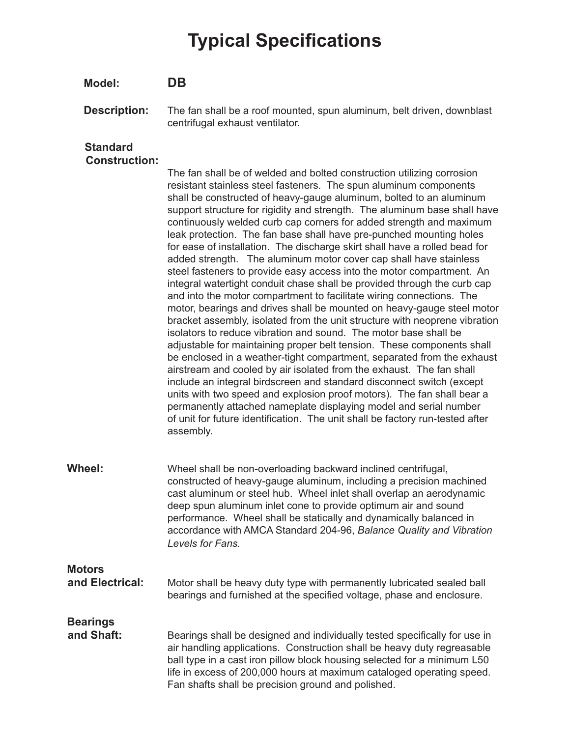# **Typical Specifications**

#### **Model: DB**

**Description:** The fan shall be a roof mounted, spun aluminum, belt driven, downblast centrifugal exhaust ventilator.

#### **Standard Construction:**

The fan shall be of welded and bolted construction utilizing corrosion resistant stainless steel fasteners. The spun aluminum components shall be constructed of heavy-gauge aluminum, bolted to an aluminum support structure for rigidity and strength. The aluminum base shall have continuously welded curb cap corners for added strength and maximum leak protection. The fan base shall have pre-punched mounting holes for ease of installation. The discharge skirt shall have a rolled bead for added strength. The aluminum motor cover cap shall have stainless steel fasteners to provide easy access into the motor compartment. An integral watertight conduit chase shall be provided through the curb cap and into the motor compartment to facilitate wiring connections. The motor, bearings and drives shall be mounted on heavy-gauge steel motor bracket assembly, isolated from the unit structure with neoprene vibration isolators to reduce vibration and sound. The motor base shall be adjustable for maintaining proper belt tension. These components shall be enclosed in a weather-tight compartment, separated from the exhaust airstream and cooled by air isolated from the exhaust. The fan shall include an integral birdscreen and standard disconnect switch (except units with two speed and explosion proof motors). The fan shall bear a permanently attached nameplate displaying model and serial number of unit for future identification. The unit shall be factory run-tested after assembly.

**Wheel:** Wheel shall be non-overloading backward inclined centrifugal, constructed of heavy-gauge aluminum, including a precision machined cast aluminum or steel hub. Wheel inlet shall overlap an aerodynamic deep spun aluminum inlet cone to provide optimum air and sound performance. Wheel shall be statically and dynamically balanced in accordance with AMCA Standard 204-96, *Balance Quality and Vibration Levels for Fans.*

## **Motors**

 **and Electrical:** Motor shall be heavy duty type with permanently lubricated sealed ball bearings and furnished at the specified voltage, phase and enclosure.

### **Bearings**

**and Shaft:** Bearings shall be designed and individually tested specifically for use in air handling applications. Construction shall be heavy duty regreasable ball type in a cast iron pillow block housing selected for a minimum L50 life in excess of 200,000 hours at maximum cataloged operating speed. Fan shafts shall be precision ground and polished.